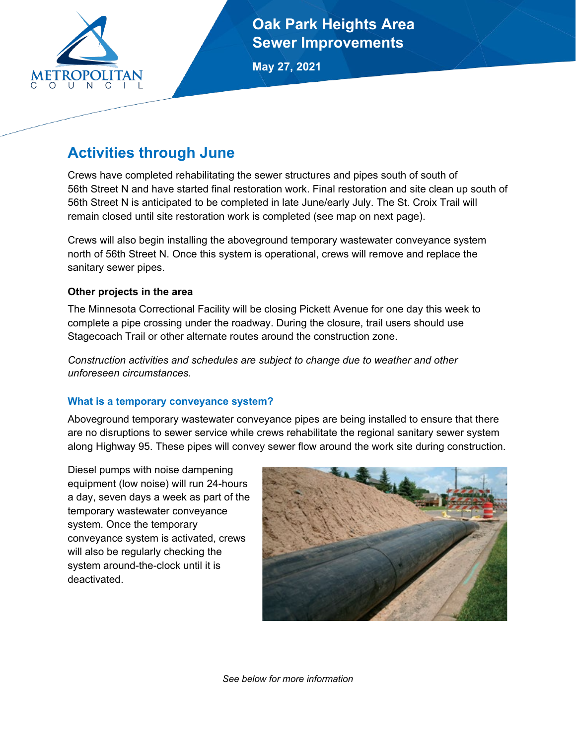

**Oak Park Heights Area Sewer Improvements**

**May 27, 2021**

# **Activities through June**

Crews have completed rehabilitating the sewer structures and pipes south of south of 56th Street N and have started final restoration work. Final restoration and site clean up south of 56th Street N is anticipated to be completed in late June/early July. The St. Croix Trail will remain closed until site restoration work is completed (see map on next page).

Crews will also begin installing the aboveground temporary wastewater conveyance system north of 56th Street N. Once this system is operational, crews will remove and replace the sanitary sewer pipes.

## **Other projects in the area**

The Minnesota Correctional Facility will be closing Pickett Avenue for one day this week to complete a pipe crossing under the roadway. During the closure, trail users should use Stagecoach Trail or other alternate routes around the construction zone.

*Construction activities and schedules are subject to change due to weather and other unforeseen circumstances.*

## **What is a temporary conveyance system?**

Aboveground temporary wastewater conveyance pipes are being installed to ensure that there are no disruptions to sewer service while crews rehabilitate the regional sanitary sewer system along Highway 95. These pipes will convey sewer flow around the work site during construction.

Diesel pumps with noise dampening equipment (low noise) will run 24-hours a day, seven days a week as part of the temporary wastewater conveyance system. Once the temporary conveyance system is activated, crews will also be regularly checking the system around-the-clock until it is deactivated.



*See below for more information*